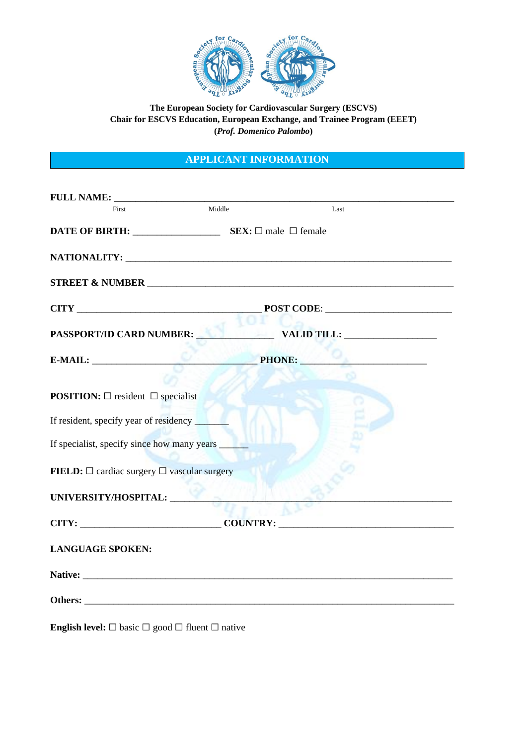

## **The European Society for Cardiovascular Surgery (ESCVS) Chair for ESCVS Education, European Exchange, and Trainee Program (EEET) (***Prof. Domenico Palombo***)**

## **APPLICANT INFORMATION**

| First                                                                                                          | Middle | Last                                                             |  |
|----------------------------------------------------------------------------------------------------------------|--------|------------------------------------------------------------------|--|
|                                                                                                                |        |                                                                  |  |
| NATIONALITY: University of the contract of the contract of the contract of the contract of the contract of the |        |                                                                  |  |
|                                                                                                                |        |                                                                  |  |
|                                                                                                                |        | POST CODE:                                                       |  |
| <b>PASSPORT/ID CARD NUMBER:</b>                                                                                |        | VALID TILL:                                                      |  |
| $E-MAIL:$                                                                                                      |        | $\mathbf{A}^{(i)}$ , and the set of $\mathbf{A}^{(i)}$<br>PHONE: |  |
|                                                                                                                |        |                                                                  |  |
| <b>POSITION:</b> $\square$ resident $\square$ specialist                                                       |        |                                                                  |  |
| If resident, specify year of residency                                                                         |        |                                                                  |  |
| If specialist, specify since how many years __                                                                 |        |                                                                  |  |
| <b>FIELD:</b> $\Box$ cardiac surgery $\Box$ vascular surgery                                                   |        |                                                                  |  |
| UNIVERSITY/HOSPITAL:                                                                                           |        |                                                                  |  |
|                                                                                                                |        |                                                                  |  |
| <b>LANGUAGE SPOKEN:</b>                                                                                        |        |                                                                  |  |
|                                                                                                                |        |                                                                  |  |
|                                                                                                                |        |                                                                  |  |
|                                                                                                                |        |                                                                  |  |

**English level:** ☐ basic ☐ good ☐ fluent ☐ native